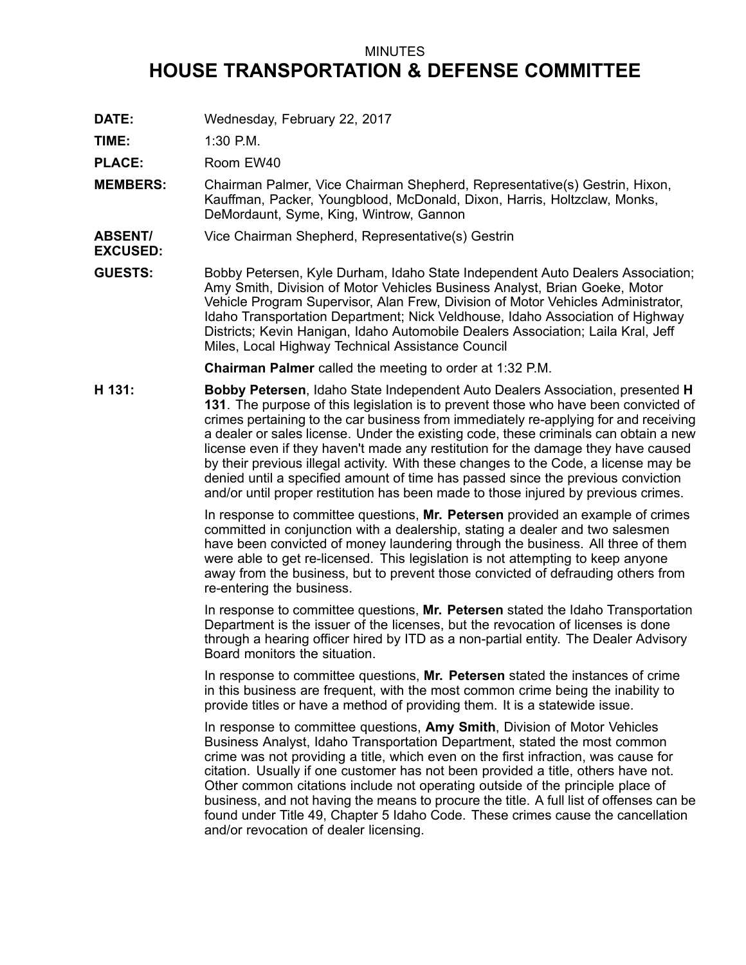## MINUTES **HOUSE TRANSPORTATION & DEFENSE COMMITTEE**

**DATE:** Wednesday, February 22, 2017

**TIME:** 1:30 P.M.

**EXCUSED:**

PLACE: Room EW40

**MEMBERS:** Chairman Palmer, Vice Chairman Shepherd, Representative(s) Gestrin, Hixon, Kauffman, Packer, Youngblood, McDonald, Dixon, Harris, Holtzclaw, Monks, DeMordaunt, Syme, King, Wintrow, Gannon

**ABSENT/** Vice Chairman Shepherd, Representative(s) Gestrin

**GUESTS:** Bobby Petersen, Kyle Durham, Idaho State Independent Auto Dealers Association; Amy Smith, Division of Motor Vehicles Business Analyst, Brian Goeke, Motor Vehicle Program Supervisor, Alan Frew, Division of Motor Vehicles Administrator, Idaho Transportation Department; Nick Veldhouse, Idaho Association of Highway Districts; Kevin Hanigan, Idaho Automobile Dealers Association; Laila Kral, Jeff Miles, Local Highway Technical Assistance Council

**Chairman Palmer** called the meeting to order at 1:32 P.M.

**H 131: Bobby Petersen**, Idaho State Independent Auto Dealers Association, presented **H 131**. The purpose of this legislation is to prevent those who have been convicted of crimes pertaining to the car business from immediately re-applying for and receiving <sup>a</sup> dealer or sales license. Under the existing code, these criminals can obtain <sup>a</sup> new license even if they haven't made any restitution for the damage they have caused by their previous illegal activity. With these changes to the Code, <sup>a</sup> license may be denied until <sup>a</sup> specified amount of time has passed since the previous conviction and/or until proper restitution has been made to those injured by previous crimes.

> In response to committee questions, **Mr. Petersen** provided an example of crimes committed in conjunction with <sup>a</sup> dealership, stating <sup>a</sup> dealer and two salesmen have been convicted of money laundering through the business. All three of them were able to get re-licensed. This legislation is not attempting to keep anyone away from the business, but to prevent those convicted of defrauding others from re-entering the business.

> In response to committee questions, **Mr. Petersen** stated the Idaho Transportation Department is the issuer of the licenses, but the revocation of licenses is done through <sup>a</sup> hearing officer hired by ITD as <sup>a</sup> non-partial entity. The Dealer Advisory Board monitors the situation.

In response to committee questions, **Mr. Petersen** stated the instances of crime in this business are frequent, with the most common crime being the inability to provide titles or have <sup>a</sup> method of providing them. It is <sup>a</sup> statewide issue.

In response to committee questions, **Amy Smith**, Division of Motor Vehicles Business Analyst, Idaho Transportation Department, stated the most common crime was not providing <sup>a</sup> title, which even on the first infraction, was cause for citation. Usually if one customer has not been provided <sup>a</sup> title, others have not. Other common citations include not operating outside of the principle place of business, and not having the means to procure the title. A full list of offenses can be found under Title 49, Chapter 5 Idaho Code. These crimes cause the cancellation and/or revocation of dealer licensing.